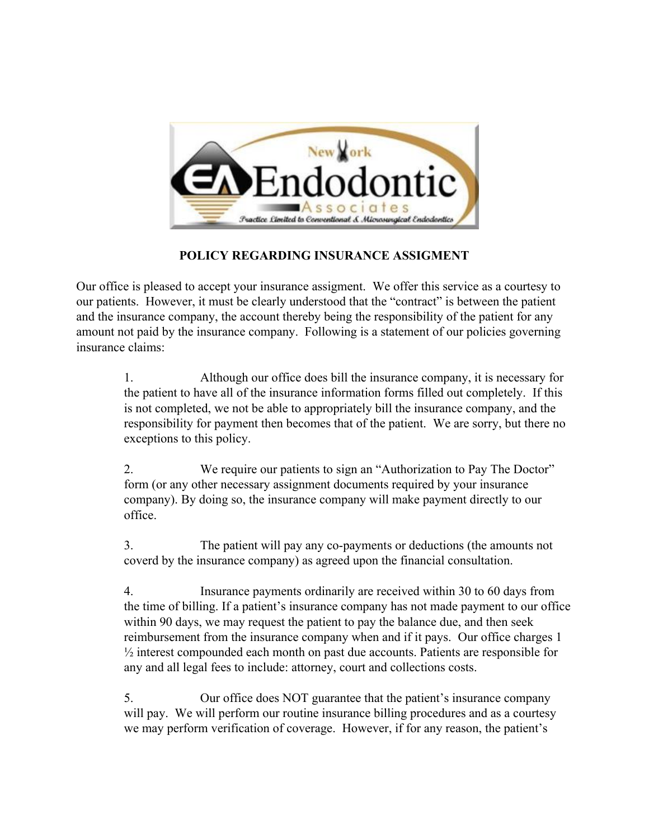

## **POLICY REGARDING INSURANCE ASSIGMENT**

Our office is pleased to accept your insurance assigment. We offer this service as a courtesy to our patients. However, it must be clearly understood that the "contract" is between the patient and the insurance company, the account thereby being the responsibility of the patient for any amount not paid by the insurance company. Following is a statement of our policies governing insurance claims:

1. Although our office does bill the insurance company, it is necessary for the patient to have all of the insurance information forms filled out completely. If this is not completed, we not be able to appropriately bill the insurance company, and the responsibility for payment then becomes that of the patient. We are sorry, but there no exceptions to this policy.

2. We require our patients to sign an "Authorization to Pay The Doctor" form (or any other necessary assignment documents required by your insurance company). By doing so, the insurance company will make payment directly to our office.

3. The patient will pay any co-payments or deductions (the amounts not coverd by the insurance company) as agreed upon the financial consultation.

4. Insurance payments ordinarily are received within 30 to 60 days from the time of billing. If a patient's insurance company has not made payment to our office within 90 days, we may request the patient to pay the balance due, and then seek reimbursement from the insurance company when and if it pays. Our office charges 1 ½ interest compounded each month on past due accounts. Patients are responsible for any and all legal fees to include: attorney, court and collections costs.

5. Our office does NOT guarantee that the patient's insurance company will pay. We will perform our routine insurance billing procedures and as a courtesy we may perform verification of coverage. However, if for any reason, the patient's